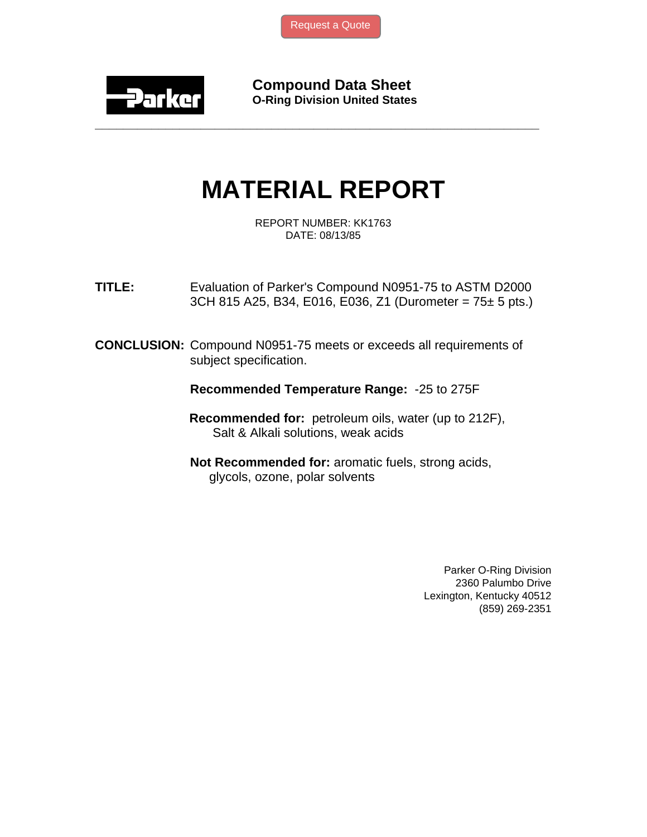[Request a Quote](http://www.marcorubber.com/contact_quote.htm?material=Parker+N0951-75)



**Compound Data Sheet O-Ring Division United States** 

## **MATERIAL REPORT**

**\_\_\_\_\_\_\_\_\_\_\_\_\_\_\_\_\_\_\_\_\_\_\_\_\_\_\_\_\_\_\_\_\_\_\_\_\_\_\_\_\_\_\_\_\_\_\_\_\_\_\_\_\_\_\_\_\_\_\_\_\_\_\_** 

REPORT NUMBER: KK1763 DATE: 08/13/85

**TITLE:** Evaluation of Parker's Compound N0951-75 to ASTM D2000 3CH 815 A25, B34, E016, E036, Z1 (Durometer =  $75 \pm 5$  pts.)

**CONCLUSION:** Compound N0951-75 meets or exceeds all requirements of subject specification.

**Recommended Temperature Range:** -25 to 275F

 **Recommended for:** petroleum oils, water (up to 212F), Salt & Alkali solutions, weak acids

**Not Recommended for:** aromatic fuels, strong acids, glycols, ozone, polar solvents

> Parker O-Ring Division 2360 Palumbo Drive Lexington, Kentucky 40512 (859) 269-2351